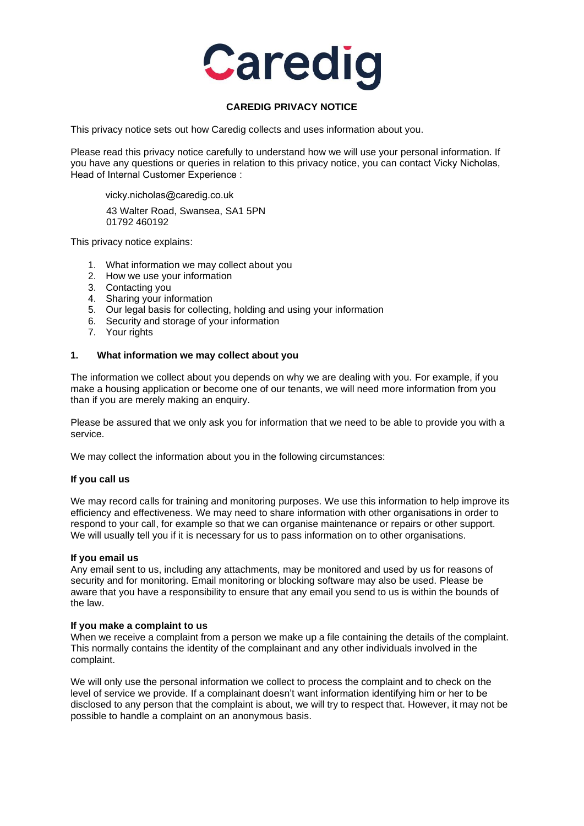

# **CAREDIG PRIVACY NOTICE**

This privacy notice sets out how Caredig collects and uses information about you.

Please read this privacy notice carefully to understand how we will use your personal information. If you have any questions or queries in relation to this privacy notice, you can contact Vicky Nicholas, Head of Internal Customer Experience :

[vicky.nicholas@caredig.](mailto:farid.ali@Caredig.co.uk)co.uk

43 Walter Road, Swansea, SA1 5PN 01792 460192

This privacy notice explains:

- 1. What information we may collect about you
- 2. How we use your information
- 3. Contacting you
- 4. Sharing your information
- 5. Our legal basis for collecting, holding and using your information
- 6. Security and storage of your information
- 7. Your rights

#### **1. What information we may collect about you**

The information we collect about you depends on why we are dealing with you. For example, if you make a housing application or become one of our tenants, we will need more information from you than if you are merely making an enquiry.

Please be assured that we only ask you for information that we need to be able to provide you with a service.

We may collect the information about you in the following circumstances:

#### **If you call us**

We may record calls for training and monitoring purposes. We use this information to help improve its efficiency and effectiveness. We may need to share information with other organisations in order to respond to your call, for example so that we can organise maintenance or repairs or other support. We will usually tell you if it is necessary for us to pass information on to other organisations.

#### **If you email us**

Any email sent to us, including any attachments, may be monitored and used by us for reasons of security and for monitoring. Email monitoring or blocking software may also be used. Please be aware that you have a responsibility to ensure that any email you send to us is within the bounds of the law.

#### **If you make a complaint to us**

When we receive a complaint from a person we make up a file containing the details of the complaint. This normally contains the identity of the complainant and any other individuals involved in the complaint.

We will only use the personal information we collect to process the complaint and to check on the level of service we provide. If a complainant doesn't want information identifying him or her to be disclosed to any person that the complaint is about, we will try to respect that. However, it may not be possible to handle a complaint on an anonymous basis.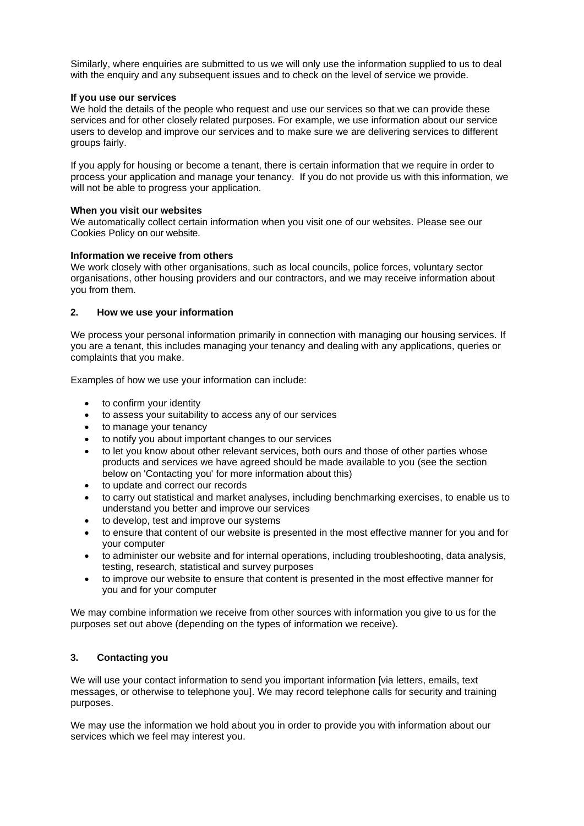Similarly, where enquiries are submitted to us we will only use the information supplied to us to deal with the enquiry and any subsequent issues and to check on the level of service we provide.

#### **If you use our services**

We hold the details of the people who request and use our services so that we can provide these services and for other closely related purposes. For example, we use information about our service users to develop and improve our services and to make sure we are delivering services to different groups fairly.

If you apply for housing or become a tenant, there is certain information that we require in order to process your application and manage your tenancy. If you do not provide us with this information, we will not be able to progress your application.

## **When you visit our websites**

We automatically collect certain information when you visit one of our websites. Please see our Cookies Policy on our website.

## **Information we receive from others**

We work closely with other organisations, such as local councils, police forces, voluntary sector organisations, other housing providers and our contractors, and we may receive information about you from them.

## **2. How we use your information**

We process your personal information primarily in connection with managing our housing services. If you are a tenant, this includes managing your tenancy and dealing with any applications, queries or complaints that you make.

Examples of how we use your information can include:

- to confirm your identity
- to assess your suitability to access any of our services
- to manage your tenancy
- to notify you about important changes to our services
- to let you know about other relevant services, both ours and those of other parties whose products and services we have agreed should be made available to you (see the section below on 'Contacting you' for more information about this)
- to update and correct our records
- to carry out statistical and market analyses, including benchmarking exercises, to enable us to understand you better and improve our services
- to develop, test and improve our systems
- to ensure that content of our website is presented in the most effective manner for you and for your computer
- to administer our website and for internal operations, including troubleshooting, data analysis, testing, research, statistical and survey purposes
- to improve our website to ensure that content is presented in the most effective manner for you and for your computer

We may combine information we receive from other sources with information you give to us for the purposes set out above (depending on the types of information we receive).

# **3. Contacting you**

We will use your contact information to send you important information [via letters, emails, text messages, or otherwise to telephone you]. We may record telephone calls for security and training purposes.

We may use the information we hold about you in order to provide you with information about our services which we feel may interest you.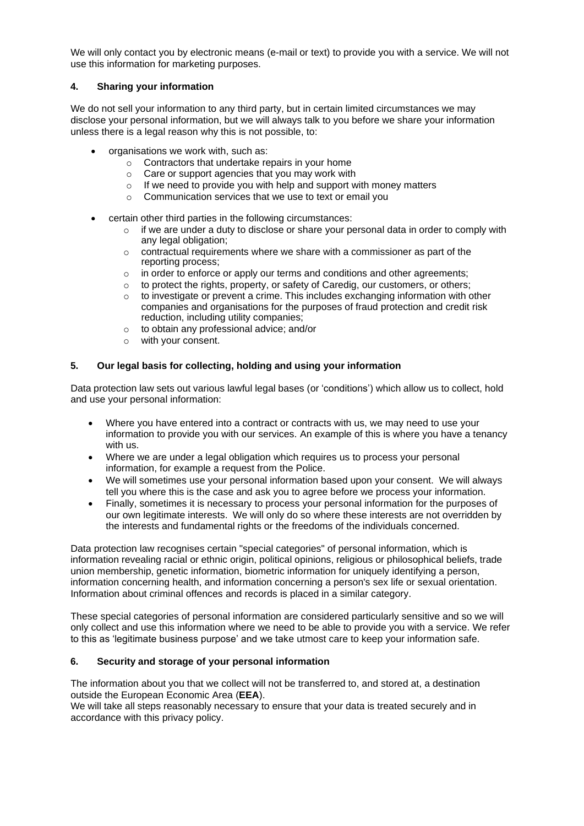We will only contact you by electronic means (e-mail or text) to provide you with a service. We will not use this information for marketing purposes.

# **4. Sharing your information**

We do not sell your information to any third party, but in certain limited circumstances we may disclose your personal information, but we will always talk to you before we share your information unless there is a legal reason why this is not possible, to:

- organisations we work with, such as:
	- o Contractors that undertake repairs in your home
	- o Care or support agencies that you may work with
	- o If we need to provide you with help and support with money matters
	- o Communication services that we use to text or email you
- certain other third parties in the following circumstances:
	- $\circ$  if we are under a duty to disclose or share your personal data in order to comply with any legal obligation;
	- o contractual requirements where we share with a commissioner as part of the reporting process;
	- o in order to enforce or apply our terms and conditions and other agreements;
	- o to protect the rights, property, or safety of Caredig, our customers, or others;
	- $\circ$  to investigate or prevent a crime. This includes exchanging information with other companies and organisations for the purposes of fraud protection and credit risk reduction, including utility companies;
	- o to obtain any professional advice; and/or
	- o with your consent.

## **5. Our legal basis for collecting, holding and using your information**

Data protection law sets out various lawful legal bases (or 'conditions') which allow us to collect, hold and use your personal information:

- Where you have entered into a contract or contracts with us, we may need to use your information to provide you with our services. An example of this is where you have a tenancy with us.
- Where we are under a legal obligation which requires us to process your personal information, for example a request from the Police.
- We will sometimes use your personal information based upon your consent. We will always tell you where this is the case and ask you to agree before we process your information.
- Finally, sometimes it is necessary to process your personal information for the purposes of our own legitimate interests. We will only do so where these interests are not overridden by the interests and fundamental rights or the freedoms of the individuals concerned.

Data protection law recognises certain "special categories" of personal information, which is information revealing racial or ethnic origin, political opinions, religious or philosophical beliefs, trade union membership, genetic information, biometric information for uniquely identifying a person, information concerning health, and information concerning a person's sex life or sexual orientation. Information about criminal offences and records is placed in a similar category.

These special categories of personal information are considered particularly sensitive and so we will only collect and use this information where we need to be able to provide you with a service. We refer to this as 'legitimate business purpose' and we take utmost care to keep your information safe.

# **6. Security and storage of your personal information**

The information about you that we collect will not be transferred to, and stored at, a destination outside the European Economic Area (**EEA**).

We will take all steps reasonably necessary to ensure that your data is treated securely and in accordance with this privacy policy.